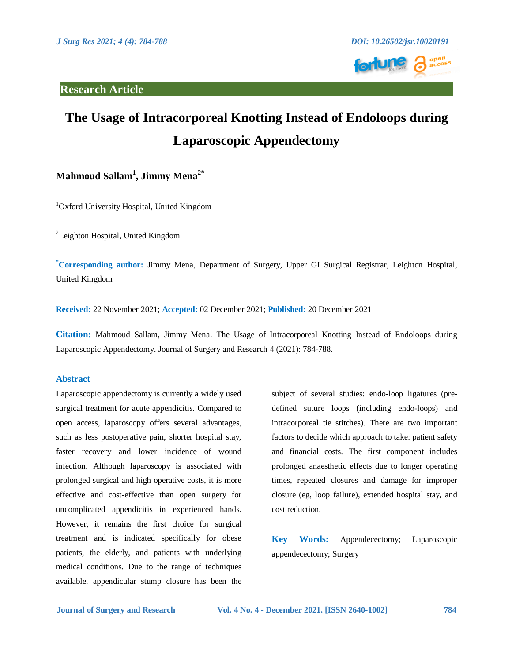

# **The Usage of Intracorporeal Knotting Instead of Endoloops during Laparoscopic Appendectomy**

# **Mahmoud Sallam<sup>1</sup> , Jimmy Mena2\***

<sup>1</sup>Oxford University Hospital, United Kingdom

<sup>2</sup>Leighton Hospital, United Kingdom

**\*Corresponding author:** Jimmy Mena, Department of Surgery, Upper GI Surgical Registrar, Leighton Hospital, United Kingdom

**Received:** 22 November 2021; **Accepted:** 02 December 2021; **Published:** 20 December 2021

**Citation:** Mahmoud Sallam, Jimmy Mena. The Usage of Intracorporeal Knotting Instead of Endoloops during Laparoscopic Appendectomy. Journal of Surgery and Research 4 (2021): 784-788.

#### **Abstract**

Laparoscopic appendectomy is currently a widely used surgical treatment for acute appendicitis. Compared to open access, laparoscopy offers several advantages, such as less postoperative pain, shorter hospital stay, faster recovery and lower incidence of wound infection. Although laparoscopy is associated with prolonged surgical and high operative costs, it is more effective and cost-effective than open surgery for uncomplicated appendicitis in experienced hands. However, it remains the first choice for surgical treatment and is indicated specifically for obese patients, the elderly, and patients with underlying medical conditions. Due to the range of techniques available, appendicular stump closure has been the

subject of several studies: endo-loop ligatures (predefined suture loops (including endo-loops) and intracorporeal tie stitches). There are two important factors to decide which approach to take: patient safety and financial costs. The first component includes prolonged anaesthetic effects due to longer operating times, repeated closures and damage for improper closure (eg, loop failure), extended hospital stay, and cost reduction.

**Key Words:** Appendecectomy; Laparoscopic appendecectomy; Surgery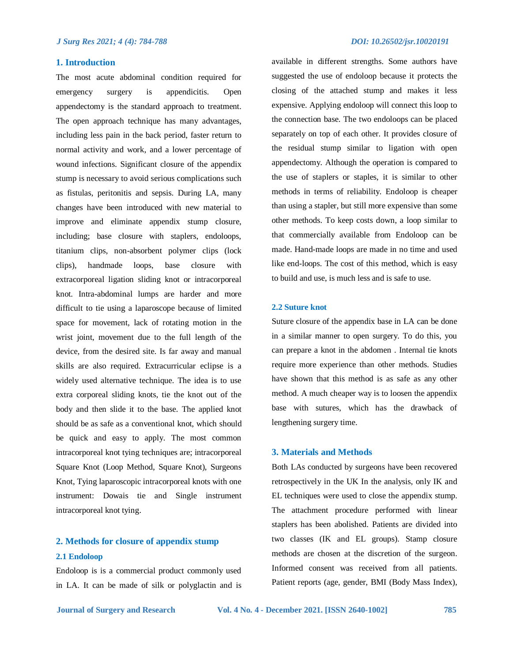#### **1. Introduction**

The most acute abdominal condition required for emergency surgery is appendicitis. Open appendectomy is the standard approach to treatment. The open approach technique has many advantages, including less pain in the back period, faster return to normal activity and work, and a lower percentage of wound infections. Significant closure of the appendix stump is necessary to avoid serious complications such as fistulas, peritonitis and sepsis. During LA, many changes have been introduced with new material to improve and eliminate appendix stump closure, including; base closure with staplers, endoloops, titanium clips, non-absorbent polymer clips (lock clips), handmade loops, base closure with extracorporeal ligation sliding knot or intracorporeal knot. Intra-abdominal lumps are harder and more difficult to tie using a laparoscope because of limited space for movement, lack of rotating motion in the wrist joint, movement due to the full length of the device, from the desired site. Is far away and manual skills are also required. Extracurricular eclipse is a widely used alternative technique. The idea is to use extra corporeal sliding knots, tie the knot out of the body and then slide it to the base. The applied knot should be as safe as a conventional knot, which should be quick and easy to apply. The most common intracorporeal knot tying techniques are; intracorporeal Square Knot (Loop Method, Square Knot), Surgeons Knot, Tying laparoscopic intracorporeal knots with one instrument: Dowais tie and Single instrument intracorporeal knot tying.

## **2. Methods for closure of appendix stump 2.1 Endoloop**

Endoloop is is a commercial product commonly used in LA. It can be made of silk or polyglactin and is available in different strengths. Some authors have suggested the use of endoloop because it protects the closing of the attached stump and makes it less expensive. Applying endoloop will connect this loop to the connection base. The two endoloops can be placed separately on top of each other. It provides closure of the residual stump similar to ligation with open appendectomy. Although the operation is compared to the use of staplers or staples, it is similar to other methods in terms of reliability. Endoloop is cheaper than using a stapler, but still more expensive than some other methods. To keep costs down, a loop similar to that commercially available from Endoloop can be made. Hand-made loops are made in no time and used like end-loops. The cost of this method, which is easy to build and use, is much less and is safe to use.

#### **2.2 Suture knot**

Suture closure of the appendix base in LA can be done in a similar manner to open surgery. To do this, you can prepare a knot in the abdomen . Internal tie knots require more experience than other methods. Studies have shown that this method is as safe as any other method. A much cheaper way is to loosen the appendix base with sutures, which has the drawback of lengthening surgery time.

#### **3. Materials and Methods**

Both LAs conducted by surgeons have been recovered retrospectively in the UK In the analysis, only IK and EL techniques were used to close the appendix stump. The attachment procedure performed with linear staplers has been abolished. Patients are divided into two classes (IK and EL groups). Stamp closure methods are chosen at the discretion of the surgeon. Informed consent was received from all patients. Patient reports (age, gender, BMI (Body Mass Index),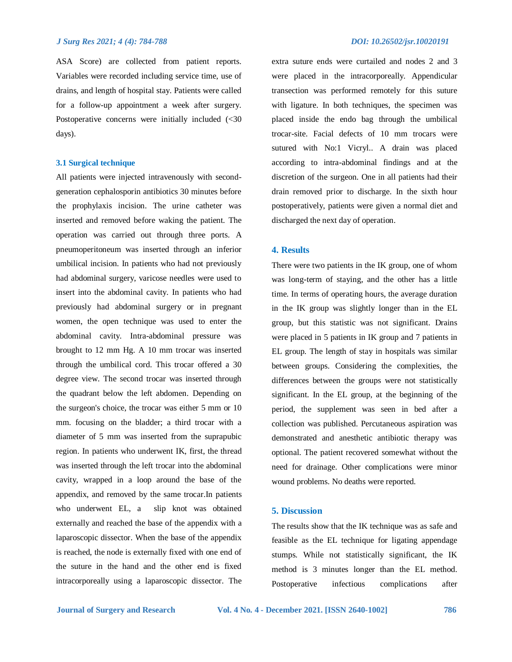#### *J Surg Res 2021; 4 (4): 784-788 DOI: 10.26502/jsr.10020191*

ASA Score) are collected from patient reports. Variables were recorded including service time, use of drains, and length of hospital stay. Patients were called for a follow-up appointment a week after surgery. Postoperative concerns were initially included (<30 days).

#### **3.1 Surgical technique**

All patients were injected intravenously with secondgeneration cephalosporin antibiotics 30 minutes before the prophylaxis incision. The urine catheter was inserted and removed before waking the patient. The operation was carried out through three ports. A pneumoperitoneum was inserted through an inferior umbilical incision. In patients who had not previously had abdominal surgery, varicose needles were used to insert into the abdominal cavity. In patients who had previously had abdominal surgery or in pregnant women, the open technique was used to enter the abdominal cavity. Intra-abdominal pressure was brought to 12 mm Hg. A 10 mm trocar was inserted through the umbilical cord. This trocar offered a 30 degree view. The second trocar was inserted through the quadrant below the left abdomen. Depending on the surgeon's choice, the trocar was either 5 mm or 10 mm. focusing on the bladder; a third trocar with a diameter of 5 mm was inserted from the suprapubic region. In patients who underwent IK, first, the thread was inserted through the left trocar into the abdominal cavity, wrapped in a loop around the base of the appendix, and removed by the same trocar.In patients who underwent EL, a slip knot was obtained externally and reached the base of the appendix with a laparoscopic dissector. When the base of the appendix is reached, the node is externally fixed with one end of the suture in the hand and the other end is fixed intracorporeally using a laparoscopic dissector. The extra suture ends were curtailed and nodes 2 and 3 were placed in the intracorporeally. Appendicular transection was performed remotely for this suture with ligature. In both techniques, the specimen was placed inside the endo bag through the umbilical trocar-site. Facial defects of 10 mm trocars were sutured with No:1 Vicryl.. A drain was placed according to intra-abdominal findings and at the discretion of the surgeon. One in all patients had their drain removed prior to discharge. In the sixth hour postoperatively, patients were given a normal diet and discharged the next day of operation.

#### **4. Results**

There were two patients in the IK group, one of whom was long-term of staying, and the other has a little time. In terms of operating hours, the average duration in the IK group was slightly longer than in the EL group, but this statistic was not significant. Drains were placed in 5 patients in IK group and 7 patients in EL group. The length of stay in hospitals was similar between groups. Considering the complexities, the differences between the groups were not statistically significant. In the EL group, at the beginning of the period, the supplement was seen in bed after a collection was published. Percutaneous aspiration was demonstrated and anesthetic antibiotic therapy was optional. The patient recovered somewhat without the need for drainage. Other complications were minor wound problems. No deaths were reported.

### **5. Discussion**

The results show that the IK technique was as safe and feasible as the EL technique for ligating appendage stumps. While not statistically significant, the IK method is 3 minutes longer than the EL method. Postoperative infectious complications after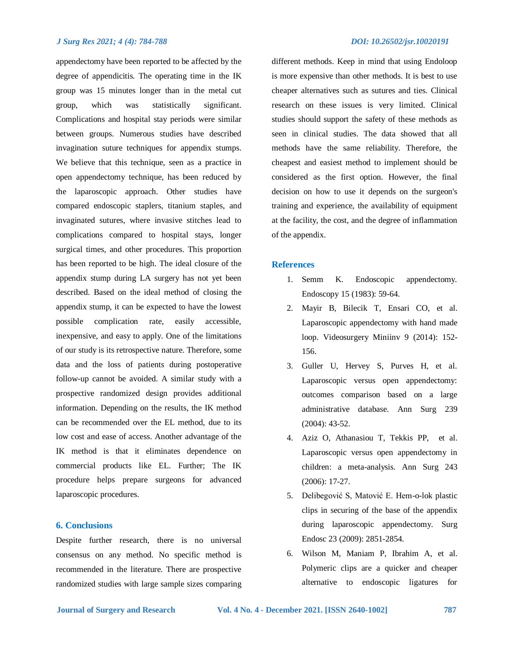#### *J Surg Res 2021; 4 (4): 784-788 DOI: 10.26502/jsr.10020191*

appendectomy have been reported to be affected by the degree of appendicitis. The operating time in the IK group was 15 minutes longer than in the metal cut group, which was statistically significant. Complications and hospital stay periods were similar between groups. Numerous studies have described invagination suture techniques for appendix stumps. We believe that this technique, seen as a practice in open appendectomy technique, has been reduced by the laparoscopic approach. Other studies have compared endoscopic staplers, titanium staples, and invaginated sutures, where invasive stitches lead to complications compared to hospital stays, longer surgical times, and other procedures. This proportion has been reported to be high. The ideal closure of the appendix stump during LA surgery has not yet been described. Based on the ideal method of closing the appendix stump, it can be expected to have the lowest possible complication rate, easily accessible, inexpensive, and easy to apply. One of the limitations of our study is its retrospective nature. Therefore, some data and the loss of patients during postoperative follow-up cannot be avoided. A similar study with a prospective randomized design provides additional information. Depending on the results, the IK method can be recommended over the EL method, due to its low cost and ease of access. Another advantage of the

IK method is that it eliminates dependence on commercial products like EL. Further; The IK procedure helps prepare surgeons for advanced laparoscopic procedures.

#### **6. Conclusions**

Despite further research, there is no universal consensus on any method. No specific method is recommended in the literature. There are prospective randomized studies with large sample sizes comparing different methods. Keep in mind that using Endoloop is more expensive than other methods. It is best to use cheaper alternatives such as sutures and ties. Clinical research on these issues is very limited. Clinical studies should support the safety of these methods as seen in clinical studies. The data showed that all methods have the same reliability. Therefore, the cheapest and easiest method to implement should be considered as the first option. However, the final decision on how to use it depends on the surgeon's training and experience, the availability of equipment at the facility, the cost, and the degree of inflammation of the appendix.

#### **References**

- 1. Semm K. Endoscopic appendectomy. Endoscopy 15 (1983): 59-64.
- 2. Mayir B, Bilecik T, Ensari CO, et al. Laparoscopic appendectomy with hand made loop. Videosurgery Miniinv 9 (2014): 152- 156.
- 3. Guller U, Hervey S, Purves H, et al. Laparoscopic versus open appendectomy: outcomes comparison based on a large administrative database. Ann Surg 239 (2004): 43-52.
- 4. Aziz O, Athanasiou T, Tekkis PP, et al. Laparoscopic versus open appendectomy in children: a meta-analysis. Ann Surg 243 (2006): 17-27.
- 5. Delibegović S, Matović E. Hem-o-lok plastic clips in securing of the base of the appendix during laparoscopic appendectomy. Surg Endosc 23 (2009): 2851-2854.
- 6. Wilson M, Maniam P, Ibrahim A, et al. Polymeric clips are a quicker and cheaper alternative to endoscopic ligatures for